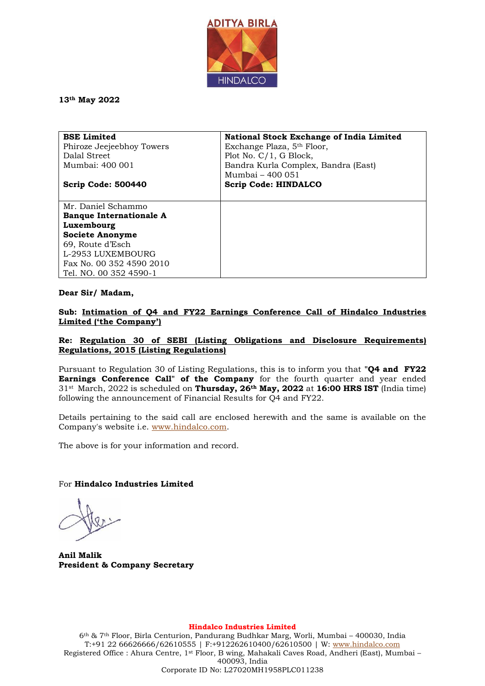

**13th May 2022**

| <b>BSE Limited</b>             | National Stock Exchange of India Limited |
|--------------------------------|------------------------------------------|
| Phiroze Jeejeebhoy Towers      | Exchange Plaza, 5 <sup>th</sup> Floor,   |
| Dalal Street                   | Plot No. $C/1$ , G Block,                |
| Mumbai: 400 001                | Bandra Kurla Complex, Bandra (East)      |
|                                | Mumbai - 400 051                         |
| Scrip Code: 500440             | <b>Scrip Code: HINDALCO</b>              |
|                                |                                          |
| Mr. Daniel Schammo             |                                          |
| <b>Banque Internationale A</b> |                                          |
| Luxembourg                     |                                          |
| <b>Societe Anonyme</b>         |                                          |
| 69, Route d'Esch               |                                          |
| L-2953 LUXEMBOURG              |                                          |
| Fax No. 00 352 4590 2010       |                                          |
| Tel. NO. 00 352 4590-1         |                                          |

#### **Dear Sir/ Madam,**

**Sub: Intimation of Q4 and FY22 Earnings Conference Call of Hindalco Industries Limited ('the Company')**

### **Re: Regulation 30 of SEBI (Listing Obligations and Disclosure Requirements) Regulations, 2015 (Listing Regulations)**

Pursuant to Regulation 30 of Listing Regulations, this is to inform you that **"Q4 and FY22 Earnings Conference Call" of the Company** for the fourth quarter and year ended 31st March, 2022 is scheduled on **Thursday, 26th May, 2022** at **16:00 HRS IST** (India time) following the announcement of Financial Results for Q4 and FY22.

Details pertaining to the said call are enclosed herewith and the same is available on the Company's website i.e. [www.hindalco.com.](http://www.hindalco.com/)

The above is for your information and record.

For **Hindalco Industries Limited** 

**Anil Malik President & Company Secretary**

**Hindalco Industries Limited**

6th & 7th Floor, Birla Centurion, Pandurang Budhkar Marg, Worli, Mumbai – 400030, India T:+91 22 66626666/62610555 | F:+912262610400/62610500 | W: [www.hindalco.com](http://www.hindalco.com/) Registered Office : Ahura Centre, 1st Floor, B wing, Mahakali Caves Road, Andheri (East), Mumbai – 400093, India Corporate ID No: L27020MH1958PLC011238